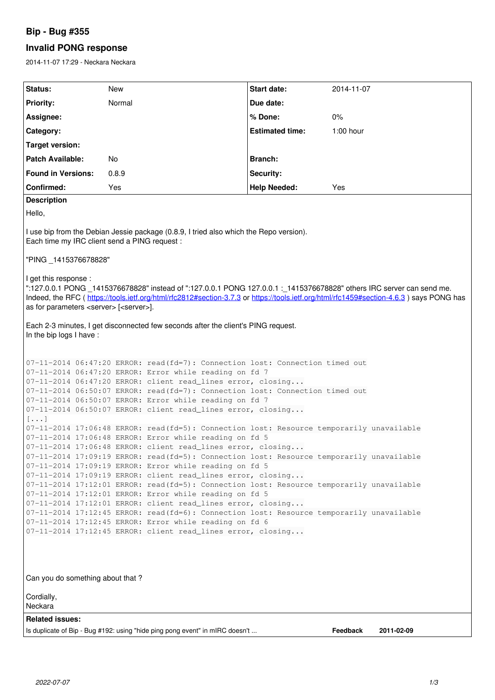# **Bip - Bug #355**

# **Invalid PONG response**

2014-11-07 17:29 - Neckara Neckara

| Status:                                                                                                                                                                                                                                                                                                                                                                                                                                                                                                                                                                                                                                                                                                                                                                                                                                                                                                                                                                                                                                                                                                                                                                                                                                                                                                                                              | <b>New</b> | <b>Start date:</b>     | 2014-11-07  |
|------------------------------------------------------------------------------------------------------------------------------------------------------------------------------------------------------------------------------------------------------------------------------------------------------------------------------------------------------------------------------------------------------------------------------------------------------------------------------------------------------------------------------------------------------------------------------------------------------------------------------------------------------------------------------------------------------------------------------------------------------------------------------------------------------------------------------------------------------------------------------------------------------------------------------------------------------------------------------------------------------------------------------------------------------------------------------------------------------------------------------------------------------------------------------------------------------------------------------------------------------------------------------------------------------------------------------------------------------|------------|------------------------|-------------|
| Priority:                                                                                                                                                                                                                                                                                                                                                                                                                                                                                                                                                                                                                                                                                                                                                                                                                                                                                                                                                                                                                                                                                                                                                                                                                                                                                                                                            | Normal     | Due date:              |             |
| Assignee:                                                                                                                                                                                                                                                                                                                                                                                                                                                                                                                                                                                                                                                                                                                                                                                                                                                                                                                                                                                                                                                                                                                                                                                                                                                                                                                                            |            | % Done:                | $0\%$       |
| Category:                                                                                                                                                                                                                                                                                                                                                                                                                                                                                                                                                                                                                                                                                                                                                                                                                                                                                                                                                                                                                                                                                                                                                                                                                                                                                                                                            |            | <b>Estimated time:</b> | $1:00$ hour |
| Target version:                                                                                                                                                                                                                                                                                                                                                                                                                                                                                                                                                                                                                                                                                                                                                                                                                                                                                                                                                                                                                                                                                                                                                                                                                                                                                                                                      |            |                        |             |
| <b>Patch Available:</b>                                                                                                                                                                                                                                                                                                                                                                                                                                                                                                                                                                                                                                                                                                                                                                                                                                                                                                                                                                                                                                                                                                                                                                                                                                                                                                                              | No         | Branch:                |             |
| <b>Found in Versions:</b>                                                                                                                                                                                                                                                                                                                                                                                                                                                                                                                                                                                                                                                                                                                                                                                                                                                                                                                                                                                                                                                                                                                                                                                                                                                                                                                            | 0.8.9      | Security:              |             |
| Confirmed:                                                                                                                                                                                                                                                                                                                                                                                                                                                                                                                                                                                                                                                                                                                                                                                                                                                                                                                                                                                                                                                                                                                                                                                                                                                                                                                                           | Yes        | <b>Help Needed:</b>    | Yes         |
| <b>Description</b>                                                                                                                                                                                                                                                                                                                                                                                                                                                                                                                                                                                                                                                                                                                                                                                                                                                                                                                                                                                                                                                                                                                                                                                                                                                                                                                                   |            |                        |             |
| Hello,                                                                                                                                                                                                                                                                                                                                                                                                                                                                                                                                                                                                                                                                                                                                                                                                                                                                                                                                                                                                                                                                                                                                                                                                                                                                                                                                               |            |                        |             |
| I use bip from the Debian Jessie package (0.8.9, I tried also which the Repo version).<br>Each time my IRC client send a PING request :                                                                                                                                                                                                                                                                                                                                                                                                                                                                                                                                                                                                                                                                                                                                                                                                                                                                                                                                                                                                                                                                                                                                                                                                              |            |                        |             |
| "PING _1415376678828"                                                                                                                                                                                                                                                                                                                                                                                                                                                                                                                                                                                                                                                                                                                                                                                                                                                                                                                                                                                                                                                                                                                                                                                                                                                                                                                                |            |                        |             |
| I get this response :<br>":127.0.0.1 PONG _1415376678828" instead of ":127.0.0.1 PONG 127.0.0.1 :_1415376678828" others IRC server can send me.<br>Indeed, the RFC (https://tools.ietf.org/html/rfc2812#section-3.7.3 or https://tools.ietf.org/html/rfc1459#section-4.6.3) says PONG has<br>as for parameters <server> [<server>].</server></server>                                                                                                                                                                                                                                                                                                                                                                                                                                                                                                                                                                                                                                                                                                                                                                                                                                                                                                                                                                                                |            |                        |             |
| Each 2-3 minutes, I get disconnected few seconds after the client's PING request.<br>In the bip logs I have:                                                                                                                                                                                                                                                                                                                                                                                                                                                                                                                                                                                                                                                                                                                                                                                                                                                                                                                                                                                                                                                                                                                                                                                                                                         |            |                        |             |
| 07-11-2014 06:47:20 ERROR: read(fd=7): Connection lost: Connection timed out<br>07-11-2014 06:47:20 ERROR: Error while reading on fd 7<br>07-11-2014 06:47:20 ERROR: client read_lines error, closing<br>07-11-2014 06:50:07 ERROR: read(fd=7): Connection lost: Connection timed out<br>07-11-2014 06:50:07 ERROR: Error while reading on fd 7<br>07-11-2014 06:50:07 ERROR: client read_lines error, closing<br>$[\ldots]$<br>07-11-2014 17:06:48 ERROR: read(fd=5): Connection lost: Resource temporarily unavailable<br>07-11-2014 17:06:48 ERROR: Error while reading on fd 5<br>07-11-2014 17:06:48 ERROR: client read_lines error, closing<br>07-11-2014 17:09:19 ERROR: read(fd=5): Connection lost: Resource temporarily unavailable<br>07-11-2014 17:09:19 ERROR: Error while reading on fd 5<br>07-11-2014 17:09:19 ERROR: client read_lines error, closing<br>07-11-2014 17:12:01 ERROR: read(fd=5): Connection lost: Resource temporarily unavailable<br>07-11-2014 17:12:01 ERROR: Error while reading on fd 5<br>07-11-2014 17:12:01 ERROR: client read_lines error, closing<br>07-11-2014 17:12:45 ERROR: read(fd=6): Connection lost: Resource temporarily unavailable<br>07-11-2014 17:12:45 ERROR: Error while reading on fd 6<br>07-11-2014 17:12:45 ERROR: client read_lines error, closing<br>Can you do something about that? |            |                        |             |
| Cordially,<br>Neckara                                                                                                                                                                                                                                                                                                                                                                                                                                                                                                                                                                                                                                                                                                                                                                                                                                                                                                                                                                                                                                                                                                                                                                                                                                                                                                                                |            |                        |             |
| <b>Related issues:</b>                                                                                                                                                                                                                                                                                                                                                                                                                                                                                                                                                                                                                                                                                                                                                                                                                                                                                                                                                                                                                                                                                                                                                                                                                                                                                                                               |            |                        |             |
| Is duplicate of Bip - Bug #192: using "hide ping pong event" in mIRC doesn't<br>Feedback<br>2011-02-09                                                                                                                                                                                                                                                                                                                                                                                                                                                                                                                                                                                                                                                                                                                                                                                                                                                                                                                                                                                                                                                                                                                                                                                                                                               |            |                        |             |
|                                                                                                                                                                                                                                                                                                                                                                                                                                                                                                                                                                                                                                                                                                                                                                                                                                                                                                                                                                                                                                                                                                                                                                                                                                                                                                                                                      |            |                        |             |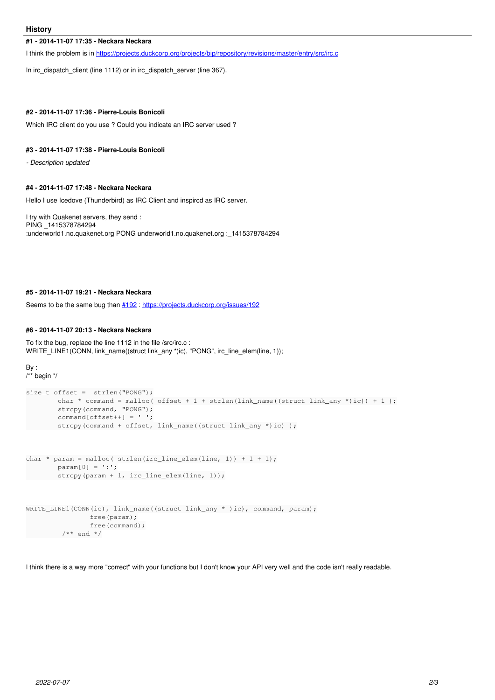#### **History**

#### **#1 - 2014-11-07 17:35 - Neckara Neckara**

I think the problem is in <https://projects.duckcorp.org/projects/bip/repository/revisions/master/entry/src/irc.c>

In irc\_dispatch\_client (line 1112) or in irc\_dispatch\_server (line 367).

#### **#2 - 2014-11-07 17:36 - Pierre-Louis Bonicoli**

Which IRC client do you use ? Could you indicate an IRC server used ?

#### **#3 - 2014-11-07 17:38 - Pierre-Louis Bonicoli**

*- Description updated*

#### **#4 - 2014-11-07 17:48 - Neckara Neckara**

Hello I use Icedove (Thunderbird) as IRC Client and inspircd as IRC server.

I try with Quakenet servers, they send : PING \_1415378784294 :underworld1.no.quakenet.org PONG underworld1.no.quakenet.org :\_1415378784294

#### **#5 - 2014-11-07 19:21 - Neckara Neckara**

Seems to be the same bug than  $\frac{\#192}{}$ :<https://projects.duckcorp.org/issues/192>

#### **#6 - 2014-11-07 20:13 - Neckara Neckara**

To fix the bug, replace the line 1112 in the file /src/irc.c : WRITE\_LINE1(CONN, link\_name((struct link\_any \*)ic), "PONG", irc\_line\_elem(line, 1));

```
Bv:
/** begin */
```

```
size_t offset = strlen("PONG");
        char * command = malloc( offset + 1 + strlen(link_name((struct link_any *)ic)) + 1 );
        strcpy(command, "PONG");
        command[offset++] = ' ';
                strcpy(command + offset, link_name((struct link_any *)ic) );
char * param = malloc( strlen(irc_line_elem(line, 1)) + 1 + 1);
               param[0] = ':';
                strcpy(param + 1, irc_line_elem(line, 1));
```

```
WRITE_LINE1(CONN(ic), link_name((struct link_any * )ic), command, param);
                 free(param):
                                 free(command);
   /** end */
```
I think there is a way more "correct" with your functions but I don't know your API very well and the code isn't really readable.